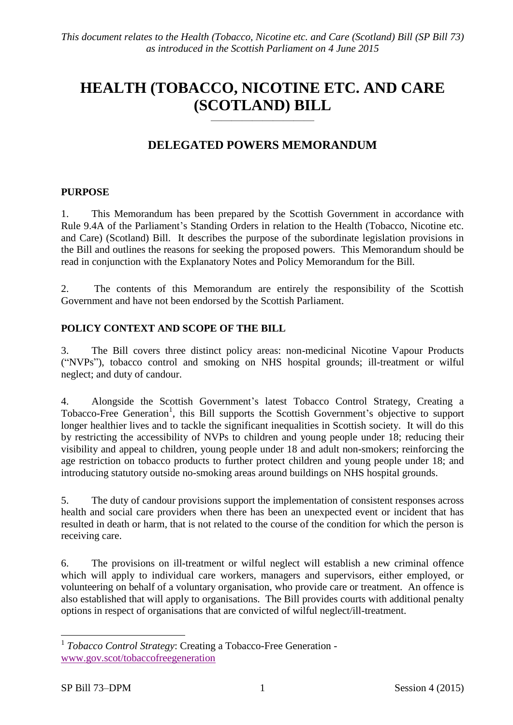# **HEALTH (TOBACCO, NICOTINE ETC. AND CARE (SCOTLAND) BILL**

## **DELEGATED POWERS MEMORANDUM**

——————————

## **PURPOSE**

1. This Memorandum has been prepared by the Scottish Government in accordance with Rule 9.4A of the Parliament's Standing Orders in relation to the Health (Tobacco, Nicotine etc. and Care) (Scotland) Bill. It describes the purpose of the subordinate legislation provisions in the Bill and outlines the reasons for seeking the proposed powers. This Memorandum should be read in conjunction with the Explanatory Notes and Policy Memorandum for the Bill.

2. The contents of this Memorandum are entirely the responsibility of the Scottish Government and have not been endorsed by the Scottish Parliament.

## **POLICY CONTEXT AND SCOPE OF THE BILL**

3. The Bill covers three distinct policy areas: non-medicinal Nicotine Vapour Products ("NVPs"), tobacco control and smoking on NHS hospital grounds; ill-treatment or wilful neglect; and duty of candour.

4. Alongside the Scottish Government's latest Tobacco Control Strategy, Creating a Tobacco-Free Generation<sup>1</sup>, this Bill supports the Scottish Government's objective to support longer healthier lives and to tackle the significant inequalities in Scottish society. It will do this by restricting the accessibility of NVPs to children and young people under 18; reducing their visibility and appeal to children, young people under 18 and adult non-smokers; reinforcing the age restriction on tobacco products to further protect children and young people under 18; and introducing statutory outside no-smoking areas around buildings on NHS hospital grounds.

5. The duty of candour provisions support the implementation of consistent responses across health and social care providers when there has been an unexpected event or incident that has resulted in death or harm, that is not related to the course of the condition for which the person is receiving care.

6. The provisions on ill-treatment or wilful neglect will establish a new criminal offence which will apply to individual care workers, managers and supervisors, either employed, or volunteering on behalf of a voluntary organisation, who provide care or treatment. An offence is also established that will apply to organisations. The Bill provides courts with additional penalty options in respect of organisations that are convicted of wilful neglect/ill-treatment.

 $\overline{a}$ 

<sup>&</sup>lt;sup>1</sup> Tobacco Control Strategy: Creating a Tobacco-Free Generation [www.gov.scot/tobaccofreegeneration](http://www.gov.scot/tobaccofreegeneration)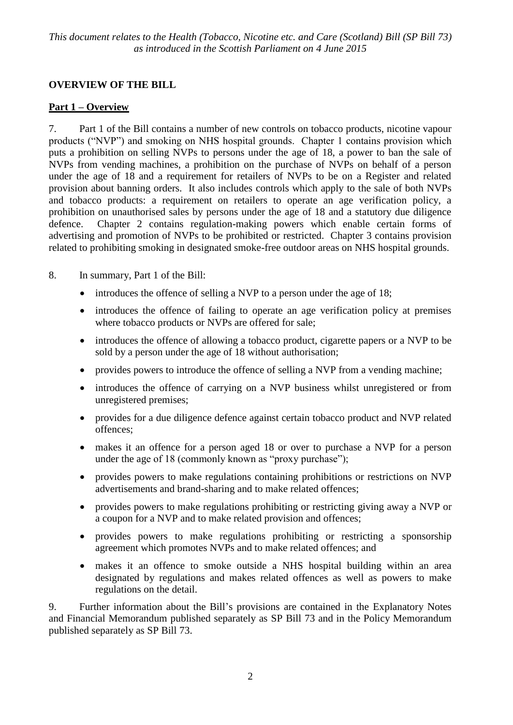## **OVERVIEW OF THE BILL**

#### **Part 1 – Overview**

7. Part 1 of the Bill contains a number of new controls on tobacco products, nicotine vapour products ("NVP") and smoking on NHS hospital grounds. Chapter 1 contains provision which puts a prohibition on selling NVPs to persons under the age of 18, a power to ban the sale of NVPs from vending machines, a prohibition on the purchase of NVPs on behalf of a person under the age of 18 and a requirement for retailers of NVPs to be on a Register and related provision about banning orders. It also includes controls which apply to the sale of both NVPs and tobacco products: a requirement on retailers to operate an age verification policy, a prohibition on unauthorised sales by persons under the age of 18 and a statutory due diligence defence. Chapter 2 contains regulation-making powers which enable certain forms of advertising and promotion of NVPs to be prohibited or restricted. Chapter 3 contains provision related to prohibiting smoking in designated smoke-free outdoor areas on NHS hospital grounds.

#### 8. In summary, Part 1 of the Bill:

- introduces the offence of selling a NVP to a person under the age of 18;
- introduces the offence of failing to operate an age verification policy at premises where tobacco products or NVPs are offered for sale;
- introduces the offence of allowing a tobacco product, cigarette papers or a NVP to be sold by a person under the age of 18 without authorisation;
- provides powers to introduce the offence of selling a NVP from a vending machine;
- introduces the offence of carrying on a NVP business whilst unregistered or from unregistered premises;
- provides for a due diligence defence against certain tobacco product and NVP related offences;
- makes it an offence for a person aged 18 or over to purchase a NVP for a person under the age of 18 (commonly known as "proxy purchase");
- provides powers to make regulations containing prohibitions or restrictions on NVP advertisements and brand-sharing and to make related offences;
- provides powers to make regulations prohibiting or restricting giving away a NVP or a coupon for a NVP and to make related provision and offences;
- provides powers to make regulations prohibiting or restricting a sponsorship agreement which promotes NVPs and to make related offences; and
- makes it an offence to smoke outside a NHS hospital building within an area designated by regulations and makes related offences as well as powers to make regulations on the detail.

9. Further information about the Bill's provisions are contained in the Explanatory Notes and Financial Memorandum published separately as SP Bill 73 and in the Policy Memorandum published separately as SP Bill 73.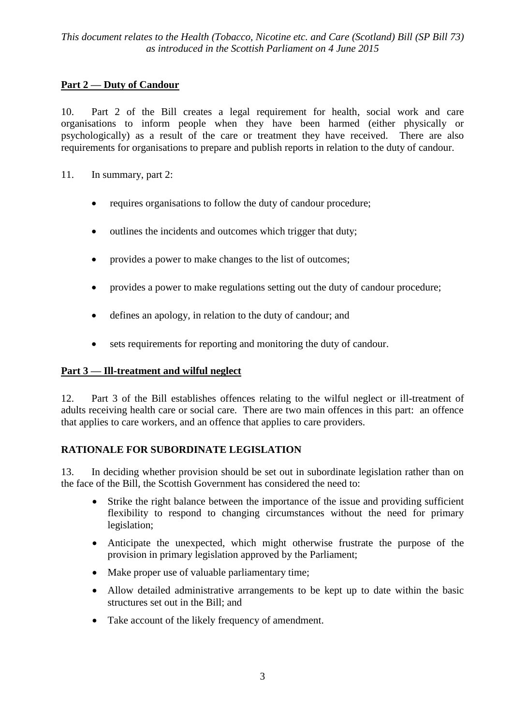## **Part 2 — Duty of Candour**

10. Part 2 of the Bill creates a legal requirement for health, social work and care organisations to inform people when they have been harmed (either physically or psychologically) as a result of the care or treatment they have received. There are also requirements for organisations to prepare and publish reports in relation to the duty of candour.

- 11. In summary, part 2:
	- requires organisations to follow the duty of candour procedure;
	- outlines the incidents and outcomes which trigger that duty;
	- provides a power to make changes to the list of outcomes;
	- provides a power to make regulations setting out the duty of candour procedure;
	- defines an apology, in relation to the duty of candour; and
	- sets requirements for reporting and monitoring the duty of candour.

#### **Part 3 — Ill-treatment and wilful neglect**

12. Part 3 of the Bill establishes offences relating to the wilful neglect or ill-treatment of adults receiving health care or social care. There are two main offences in this part: an offence that applies to care workers, and an offence that applies to care providers.

#### **RATIONALE FOR SUBORDINATE LEGISLATION**

13. In deciding whether provision should be set out in subordinate legislation rather than on the face of the Bill, the Scottish Government has considered the need to:

- Strike the right balance between the importance of the issue and providing sufficient flexibility to respond to changing circumstances without the need for primary legislation;
- Anticipate the unexpected, which might otherwise frustrate the purpose of the provision in primary legislation approved by the Parliament;
- Make proper use of valuable parliamentary time;
- Allow detailed administrative arrangements to be kept up to date within the basic structures set out in the Bill; and
- Take account of the likely frequency of amendment.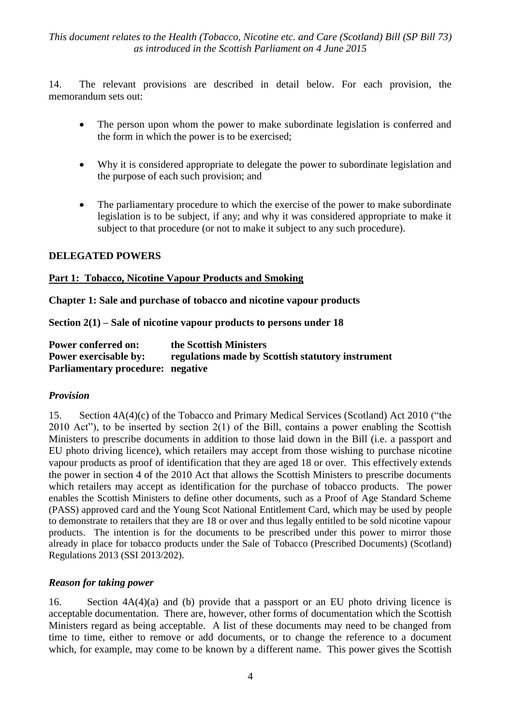14. The relevant provisions are described in detail below. For each provision, the memorandum sets out:

- The person upon whom the power to make subordinate legislation is conferred and the form in which the power is to be exercised;
- Why it is considered appropriate to delegate the power to subordinate legislation and the purpose of each such provision; and
- The parliamentary procedure to which the exercise of the power to make subordinate legislation is to be subject, if any; and why it was considered appropriate to make it subject to that procedure (or not to make it subject to any such procedure).

#### **DELEGATED POWERS**

#### **Part 1: Tobacco, Nicotine Vapour Products and Smoking**

**Chapter 1: Sale and purchase of tobacco and nicotine vapour products**

**Section 2(1) – Sale of nicotine vapour products to persons under 18**

| <b>Power conferred on:</b>        | the Scottish Ministers                            |
|-----------------------------------|---------------------------------------------------|
| <b>Power exercisable by:</b>      | regulations made by Scottish statutory instrument |
| Parliamentary procedure: negative |                                                   |

#### *Provision*

15. Section 4A(4)(c) of the Tobacco and Primary Medical Services (Scotland) Act 2010 ("the 2010 Act"), to be inserted by section 2(1) of the Bill, contains a power enabling the Scottish Ministers to prescribe documents in addition to those laid down in the Bill (i.e. a passport and EU photo driving licence), which retailers may accept from those wishing to purchase nicotine vapour products as proof of identification that they are aged 18 or over.This effectively extends the power in section 4 of the 2010 Act that allows the Scottish Ministers to prescribe documents which retailers may accept as identification for the purchase of tobacco products. The power enables the Scottish Ministers to define other documents, such as a Proof of Age Standard Scheme (PASS) approved card and the Young Scot National Entitlement Card, which may be used by people to demonstrate to retailers that they are 18 or over and thus legally entitled to be sold nicotine vapour products. The intention is for the documents to be prescribed under this power to mirror those already in place for tobacco products under the Sale of Tobacco (Prescribed Documents) (Scotland) Regulations 2013 (SSI 2013/202).

#### *Reason for taking power*

16. Section 4A(4)(a) and (b) provide that a passport or an EU photo driving licence is acceptable documentation. There are, however, other forms of documentation which the Scottish Ministers regard as being acceptable. A list of these documents may need to be changed from time to time, either to remove or add documents, or to change the reference to a document which, for example, may come to be known by a different name. This power gives the Scottish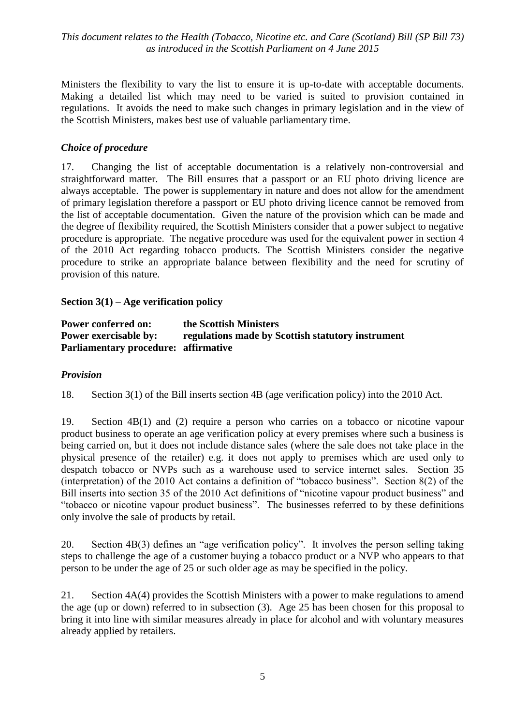Ministers the flexibility to vary the list to ensure it is up-to-date with acceptable documents. Making a detailed list which may need to be varied is suited to provision contained in regulations. It avoids the need to make such changes in primary legislation and in the view of the Scottish Ministers, makes best use of valuable parliamentary time.

#### *Choice of procedure*

17. Changing the list of acceptable documentation is a relatively non-controversial and straightforward matter. The Bill ensures that a passport or an EU photo driving licence are always acceptable. The power is supplementary in nature and does not allow for the amendment of primary legislation therefore a passport or EU photo driving licence cannot be removed from the list of acceptable documentation. Given the nature of the provision which can be made and the degree of flexibility required, the Scottish Ministers consider that a power subject to negative procedure is appropriate. The negative procedure was used for the equivalent power in section 4 of the 2010 Act regarding tobacco products. The Scottish Ministers consider the negative procedure to strike an appropriate balance between flexibility and the need for scrutiny of provision of this nature.

#### **Section 3(1) – Age verification policy**

**Power conferred on: the Scottish Ministers Power exercisable by: regulations made by Scottish statutory instrument Parliamentary procedure: affirmative** 

#### *Provision*

18. Section 3(1) of the Bill inserts section 4B (age verification policy) into the 2010 Act.

19. Section 4B(1) and (2) require a person who carries on a tobacco or nicotine vapour product business to operate an age verification policy at every premises where such a business is being carried on, but it does not include distance sales (where the sale does not take place in the physical presence of the retailer) e.g. it does not apply to premises which are used only to despatch tobacco or NVPs such as a warehouse used to service internet sales. Section 35 (interpretation) of the 2010 Act contains a definition of "tobacco business". Section 8(2) of the Bill inserts into section 35 of the 2010 Act definitions of "nicotine vapour product business" and "tobacco or nicotine vapour product business". The businesses referred to by these definitions only involve the sale of products by retail.

20. Section 4B(3) defines an "age verification policy". It involves the person selling taking steps to challenge the age of a customer buying a tobacco product or a NVP who appears to that person to be under the age of 25 or such older age as may be specified in the policy.

21. Section 4A(4) provides the Scottish Ministers with a power to make regulations to amend the age (up or down) referred to in subsection (3). Age 25 has been chosen for this proposal to bring it into line with similar measures already in place for alcohol and with voluntary measures already applied by retailers.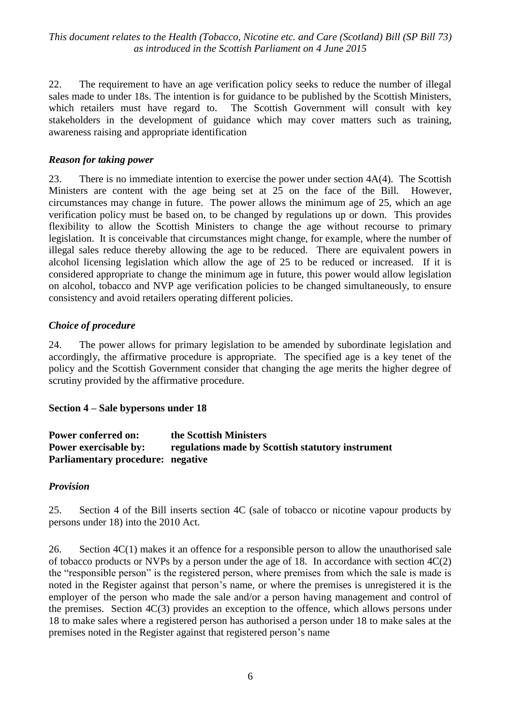22. The requirement to have an age verification policy seeks to reduce the number of illegal sales made to under 18s. The intention is for guidance to be published by the Scottish Ministers, which retailers must have regard to. The Scottish Government will consult with key stakeholders in the development of guidance which may cover matters such as training, awareness raising and appropriate identification

#### *Reason for taking power*

23. There is no immediate intention to exercise the power under section 4A(4). The Scottish Ministers are content with the age being set at 25 on the face of the Bill. However, circumstances may change in future. The power allows the minimum age of 25, which an age verification policy must be based on, to be changed by regulations up or down. This provides flexibility to allow the Scottish Ministers to change the age without recourse to primary legislation. It is conceivable that circumstances might change, for example, where the number of illegal sales reduce thereby allowing the age to be reduced. There are equivalent powers in alcohol licensing legislation which allow the age of 25 to be reduced or increased. If it is considered appropriate to change the minimum age in future, this power would allow legislation on alcohol, tobacco and NVP age verification policies to be changed simultaneously, to ensure consistency and avoid retailers operating different policies.

#### *Choice of procedure*

24. The power allows for primary legislation to be amended by subordinate legislation and accordingly, the affirmative procedure is appropriate. The specified age is a key tenet of the policy and the Scottish Government consider that changing the age merits the higher degree of scrutiny provided by the affirmative procedure.

#### **Section 4 – Sale bypersons under 18**

| <b>Power conferred on:</b>        | the Scottish Ministers                            |
|-----------------------------------|---------------------------------------------------|
| Power exercisable by:             | regulations made by Scottish statutory instrument |
| Parliamentary procedure: negative |                                                   |

#### *Provision*

25. Section 4 of the Bill inserts section 4C (sale of tobacco or nicotine vapour products by persons under 18) into the 2010 Act.

26. Section 4C(1) makes it an offence for a responsible person to allow the unauthorised sale of tobacco products or NVPs by a person under the age of 18. In accordance with section 4C(2) the "responsible person" is the registered person, where premises from which the sale is made is noted in the Register against that person's name, or where the premises is unregistered it is the employer of the person who made the sale and/or a person having management and control of the premises. Section 4C(3) provides an exception to the offence, which allows persons under 18 to make sales where a registered person has authorised a person under 18 to make sales at the premises noted in the Register against that registered person's name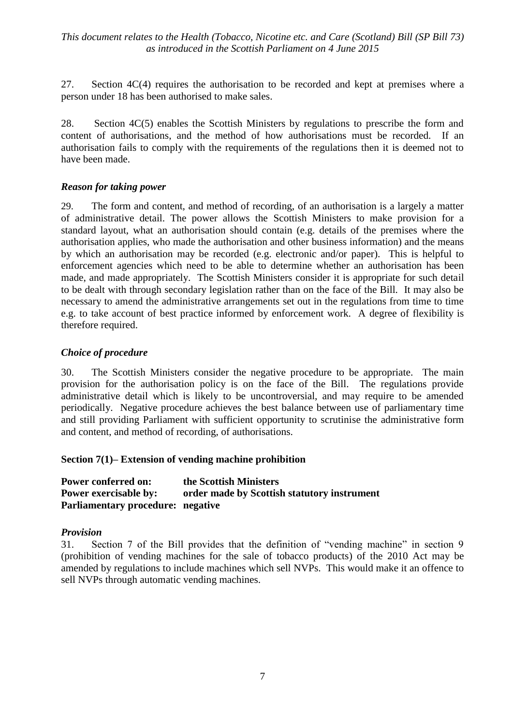27. Section 4C(4) requires the authorisation to be recorded and kept at premises where a person under 18 has been authorised to make sales.

28. Section 4C(5) enables the Scottish Ministers by regulations to prescribe the form and content of authorisations, and the method of how authorisations must be recorded. If an authorisation fails to comply with the requirements of the regulations then it is deemed not to have been made.

#### *Reason for taking power*

29. The form and content, and method of recording, of an authorisation is a largely a matter of administrative detail. The power allows the Scottish Ministers to make provision for a standard layout, what an authorisation should contain (e.g. details of the premises where the authorisation applies, who made the authorisation and other business information) and the means by which an authorisation may be recorded (e.g. electronic and/or paper). This is helpful to enforcement agencies which need to be able to determine whether an authorisation has been made, and made appropriately. The Scottish Ministers consider it is appropriate for such detail to be dealt with through secondary legislation rather than on the face of the Bill. It may also be necessary to amend the administrative arrangements set out in the regulations from time to time e.g. to take account of best practice informed by enforcement work. A degree of flexibility is therefore required.

#### *Choice of procedure*

30. The Scottish Ministers consider the negative procedure to be appropriate. The main provision for the authorisation policy is on the face of the Bill. The regulations provide administrative detail which is likely to be uncontroversial, and may require to be amended periodically. Negative procedure achieves the best balance between use of parliamentary time and still providing Parliament with sufficient opportunity to scrutinise the administrative form and content, and method of recording, of authorisations.

#### **Section 7(1)– Extension of vending machine prohibition**

| <b>Power conferred on:</b>        | the Scottish Ministers                      |
|-----------------------------------|---------------------------------------------|
| <b>Power exercisable by:</b>      | order made by Scottish statutory instrument |
| Parliamentary procedure: negative |                                             |

#### *Provision*

31. Section 7 of the Bill provides that the definition of "vending machine" in section 9 (prohibition of vending machines for the sale of tobacco products) of the 2010 Act may be amended by regulations to include machines which sell NVPs. This would make it an offence to sell NVPs through automatic vending machines.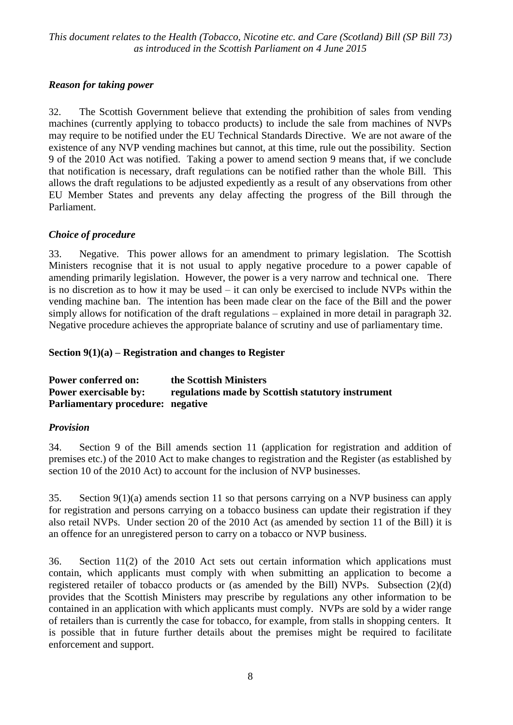#### *Reason for taking power*

32. The Scottish Government believe that extending the prohibition of sales from vending machines (currently applying to tobacco products) to include the sale from machines of NVPs may require to be notified under the EU Technical Standards Directive. We are not aware of the existence of any NVP vending machines but cannot, at this time, rule out the possibility. Section 9 of the 2010 Act was notified. Taking a power to amend section 9 means that, if we conclude that notification is necessary, draft regulations can be notified rather than the whole Bill. This allows the draft regulations to be adjusted expediently as a result of any observations from other EU Member States and prevents any delay affecting the progress of the Bill through the Parliament.

#### *Choice of procedure*

33. Negative. This power allows for an amendment to primary legislation. The Scottish Ministers recognise that it is not usual to apply negative procedure to a power capable of amending primarily legislation. However, the power is a very narrow and technical one. There is no discretion as to how it may be used – it can only be exercised to include NVPs within the vending machine ban. The intention has been made clear on the face of the Bill and the power simply allows for notification of the draft regulations – explained in more detail in paragraph 32. Negative procedure achieves the appropriate balance of scrutiny and use of parliamentary time.

#### **Section 9(1)(a) – Registration and changes to Register**

| <b>Power conferred on:</b>        | the Scottish Ministers                            |
|-----------------------------------|---------------------------------------------------|
| <b>Power exercisable by:</b>      | regulations made by Scottish statutory instrument |
| Parliamentary procedure: negative |                                                   |

#### *Provision*

34. Section 9 of the Bill amends section 11 (application for registration and addition of premises etc.) of the 2010 Act to make changes to registration and the Register (as established by section 10 of the 2010 Act) to account for the inclusion of NVP businesses.

35. Section 9(1)(a) amends section 11 so that persons carrying on a NVP business can apply for registration and persons carrying on a tobacco business can update their registration if they also retail NVPs. Under section 20 of the 2010 Act (as amended by section 11 of the Bill) it is an offence for an unregistered person to carry on a tobacco or NVP business.

36. Section 11(2) of the 2010 Act sets out certain information which applications must contain, which applicants must comply with when submitting an application to become a registered retailer of tobacco products or (as amended by the Bill) NVPs. Subsection (2)(d) provides that the Scottish Ministers may prescribe by regulations any other information to be contained in an application with which applicants must comply. NVPs are sold by a wider range of retailers than is currently the case for tobacco, for example, from stalls in shopping centers. It is possible that in future further details about the premises might be required to facilitate enforcement and support.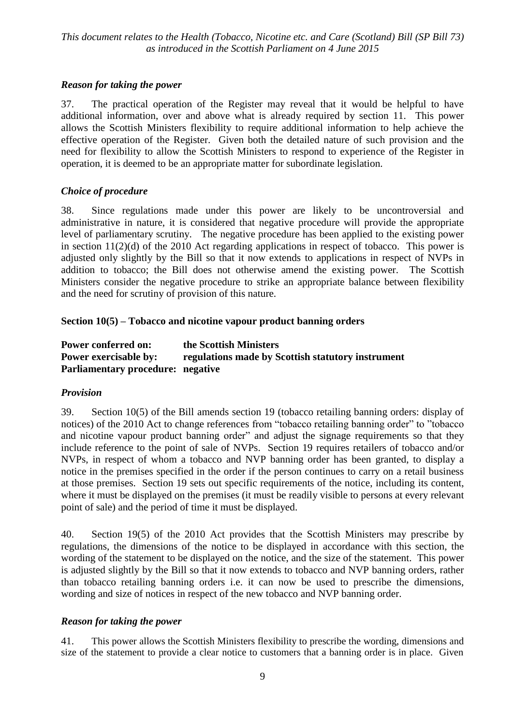#### *Reason for taking the power*

37. The practical operation of the Register may reveal that it would be helpful to have additional information, over and above what is already required by section 11. This power allows the Scottish Ministers flexibility to require additional information to help achieve the effective operation of the Register. Given both the detailed nature of such provision and the need for flexibility to allow the Scottish Ministers to respond to experience of the Register in operation, it is deemed to be an appropriate matter for subordinate legislation.

#### *Choice of procedure*

38. Since regulations made under this power are likely to be uncontroversial and administrative in nature, it is considered that negative procedure will provide the appropriate level of parliamentary scrutiny. The negative procedure has been applied to the existing power in section 11(2)(d) of the 2010 Act regarding applications in respect of tobacco. This power is adjusted only slightly by the Bill so that it now extends to applications in respect of NVPs in addition to tobacco; the Bill does not otherwise amend the existing power. The Scottish Ministers consider the negative procedure to strike an appropriate balance between flexibility and the need for scrutiny of provision of this nature.

#### **Section 10(5) – Tobacco and nicotine vapour product banning orders**

| <b>Power conferred on:</b>               | the Scottish Ministers                            |
|------------------------------------------|---------------------------------------------------|
| <b>Power exercisable by:</b>             | regulations made by Scottish statutory instrument |
| <b>Parliamentary procedure: negative</b> |                                                   |

#### *Provision*

39. Section 10(5) of the Bill amends section 19 (tobacco retailing banning orders: display of notices) of the 2010 Act to change references from "tobacco retailing banning order" to "tobacco and nicotine vapour product banning order" and adjust the signage requirements so that they include reference to the point of sale of NVPs. Section 19 requires retailers of tobacco and/or NVPs, in respect of whom a tobacco and NVP banning order has been granted, to display a notice in the premises specified in the order if the person continues to carry on a retail business at those premises. Section 19 sets out specific requirements of the notice, including its content, where it must be displayed on the premises (it must be readily visible to persons at every relevant point of sale) and the period of time it must be displayed.

40. Section 19(5) of the 2010 Act provides that the Scottish Ministers may prescribe by regulations, the dimensions of the notice to be displayed in accordance with this section, the wording of the statement to be displayed on the notice, and the size of the statement. This power is adjusted slightly by the Bill so that it now extends to tobacco and NVP banning orders, rather than tobacco retailing banning orders i.e. it can now be used to prescribe the dimensions, wording and size of notices in respect of the new tobacco and NVP banning order.

#### *Reason for taking the power*

41. This power allows the Scottish Ministers flexibility to prescribe the wording, dimensions and size of the statement to provide a clear notice to customers that a banning order is in place. Given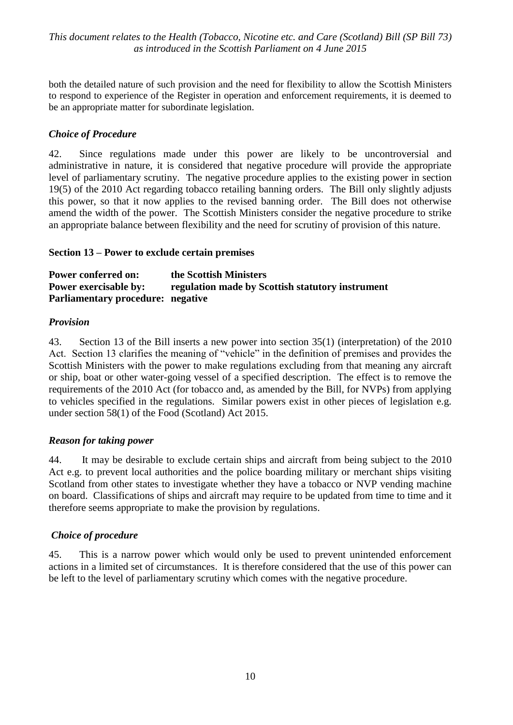both the detailed nature of such provision and the need for flexibility to allow the Scottish Ministers to respond to experience of the Register in operation and enforcement requirements, it is deemed to be an appropriate matter for subordinate legislation.

### *Choice of Procedure*

42. Since regulations made under this power are likely to be uncontroversial and administrative in nature, it is considered that negative procedure will provide the appropriate level of parliamentary scrutiny. The negative procedure applies to the existing power in section 19(5) of the 2010 Act regarding tobacco retailing banning orders. The Bill only slightly adjusts this power, so that it now applies to the revised banning order. The Bill does not otherwise amend the width of the power. The Scottish Ministers consider the negative procedure to strike an appropriate balance between flexibility and the need for scrutiny of provision of this nature.

#### **Section 13 – Power to exclude certain premises**

**Power conferred on: the Scottish Ministers Power exercisable by:** regulation made by Scottish statutory instrument **Parliamentary procedure: negative**

#### *Provision*

43. Section 13 of the Bill inserts a new power into section 35(1) (interpretation) of the 2010 Act. Section 13 clarifies the meaning of "vehicle" in the definition of premises and provides the Scottish Ministers with the power to make regulations excluding from that meaning any aircraft or ship, boat or other water-going vessel of a specified description. The effect is to remove the requirements of the 2010 Act (for tobacco and, as amended by the Bill, for NVPs) from applying to vehicles specified in the regulations. Similar powers exist in other pieces of legislation e.g. under section 58(1) of the Food (Scotland) Act 2015.

#### *Reason for taking power*

44. It may be desirable to exclude certain ships and aircraft from being subject to the 2010 Act e.g. to prevent local authorities and the police boarding military or merchant ships visiting Scotland from other states to investigate whether they have a tobacco or NVP vending machine on board. Classifications of ships and aircraft may require to be updated from time to time and it therefore seems appropriate to make the provision by regulations.

#### *Choice of procedure*

45. This is a narrow power which would only be used to prevent unintended enforcement actions in a limited set of circumstances. It is therefore considered that the use of this power can be left to the level of parliamentary scrutiny which comes with the negative procedure.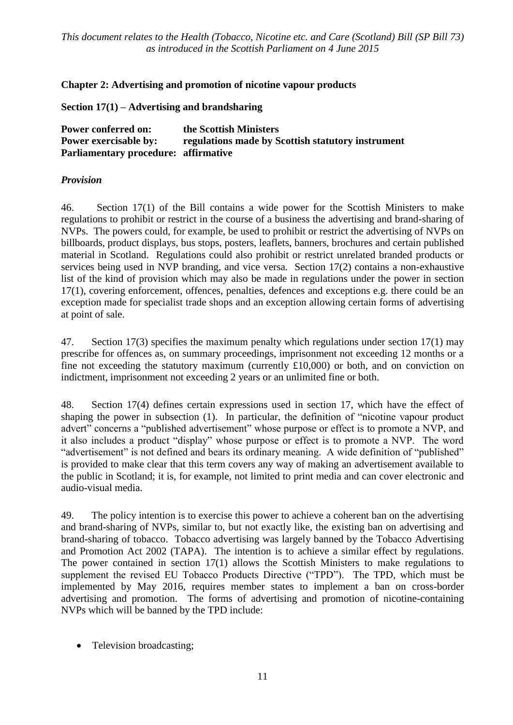#### **Chapter 2: Advertising and promotion of nicotine vapour products**

**Section 17(1) – Advertising and brandsharing**

| <b>Power conferred on:</b>                  | the Scottish Ministers                            |
|---------------------------------------------|---------------------------------------------------|
| <b>Power exercisable by:</b>                | regulations made by Scottish statutory instrument |
| <b>Parliamentary procedure: affirmative</b> |                                                   |

#### *Provision*

46. Section 17(1) of the Bill contains a wide power for the Scottish Ministers to make regulations to prohibit or restrict in the course of a business the advertising and brand-sharing of NVPs. The powers could, for example, be used to prohibit or restrict the advertising of NVPs on billboards, product displays, bus stops, posters, leaflets, banners, brochures and certain published material in Scotland. Regulations could also prohibit or restrict unrelated branded products or services being used in NVP branding, and vice versa. Section 17(2) contains a non-exhaustive list of the kind of provision which may also be made in regulations under the power in section 17(1), covering enforcement, offences, penalties, defences and exceptions e.g. there could be an exception made for specialist trade shops and an exception allowing certain forms of advertising at point of sale.

47. Section 17(3) specifies the maximum penalty which regulations under section 17(1) may prescribe for offences as, on summary proceedings, imprisonment not exceeding 12 months or a fine not exceeding the statutory maximum (currently £10,000) or both, and on conviction on indictment, imprisonment not exceeding 2 years or an unlimited fine or both.

48. Section 17(4) defines certain expressions used in section 17, which have the effect of shaping the power in subsection (1). In particular, the definition of "nicotine vapour product advert" concerns a "published advertisement" whose purpose or effect is to promote a NVP, and it also includes a product "display" whose purpose or effect is to promote a NVP. The word "advertisement" is not defined and bears its ordinary meaning. A wide definition of "published" is provided to make clear that this term covers any way of making an advertisement available to the public in Scotland; it is, for example, not limited to print media and can cover electronic and audio-visual media.

49. The policy intention is to exercise this power to achieve a coherent ban on the advertising and brand-sharing of NVPs, similar to, but not exactly like, the existing ban on advertising and brand-sharing of tobacco. Tobacco advertising was largely banned by the Tobacco Advertising and Promotion Act 2002 (TAPA). The intention is to achieve a similar effect by regulations. The power contained in section 17(1) allows the Scottish Ministers to make regulations to supplement the revised EU Tobacco Products Directive ("TPD"). The TPD, which must be implemented by May 2016, requires member states to implement a ban on cross-border advertising and promotion. The forms of advertising and promotion of nicotine-containing NVPs which will be banned by the TPD include:

• Television broadcasting;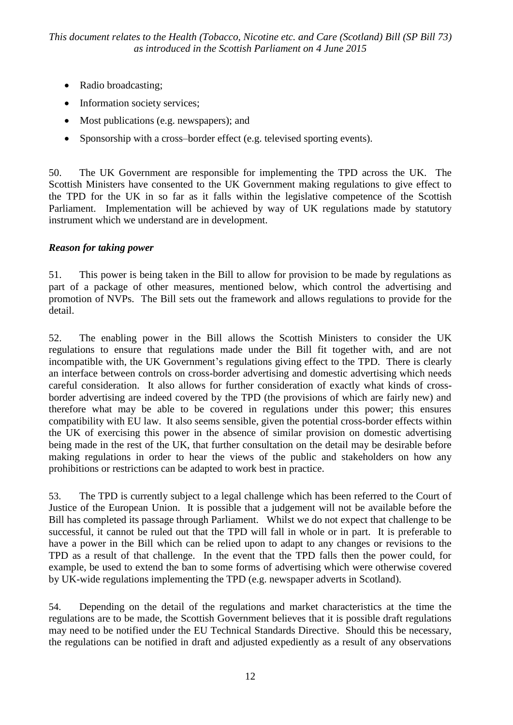- Radio broadcasting;
- Information society services;
- Most publications (e.g. newspapers); and
- Sponsorship with a cross–border effect (e.g. televised sporting events).

50. The UK Government are responsible for implementing the TPD across the UK. The Scottish Ministers have consented to the UK Government making regulations to give effect to the TPD for the UK in so far as it falls within the legislative competence of the Scottish Parliament. Implementation will be achieved by way of UK regulations made by statutory instrument which we understand are in development.

#### *Reason for taking power*

51. This power is being taken in the Bill to allow for provision to be made by regulations as part of a package of other measures, mentioned below, which control the advertising and promotion of NVPs. The Bill sets out the framework and allows regulations to provide for the detail.

52. The enabling power in the Bill allows the Scottish Ministers to consider the UK regulations to ensure that regulations made under the Bill fit together with, and are not incompatible with, the UK Government's regulations giving effect to the TPD. There is clearly an interface between controls on cross-border advertising and domestic advertising which needs careful consideration. It also allows for further consideration of exactly what kinds of crossborder advertising are indeed covered by the TPD (the provisions of which are fairly new) and therefore what may be able to be covered in regulations under this power; this ensures compatibility with EU law. It also seems sensible, given the potential cross-border effects within the UK of exercising this power in the absence of similar provision on domestic advertising being made in the rest of the UK, that further consultation on the detail may be desirable before making regulations in order to hear the views of the public and stakeholders on how any prohibitions or restrictions can be adapted to work best in practice.

53. The TPD is currently subject to a legal challenge which has been referred to the Court of Justice of the European Union. It is possible that a judgement will not be available before the Bill has completed its passage through Parliament. Whilst we do not expect that challenge to be successful, it cannot be ruled out that the TPD will fall in whole or in part. It is preferable to have a power in the Bill which can be relied upon to adapt to any changes or revisions to the TPD as a result of that challenge. In the event that the TPD falls then the power could, for example, be used to extend the ban to some forms of advertising which were otherwise covered by UK-wide regulations implementing the TPD (e.g. newspaper adverts in Scotland).

54. Depending on the detail of the regulations and market characteristics at the time the regulations are to be made, the Scottish Government believes that it is possible draft regulations may need to be notified under the EU Technical Standards Directive. Should this be necessary, the regulations can be notified in draft and adjusted expediently as a result of any observations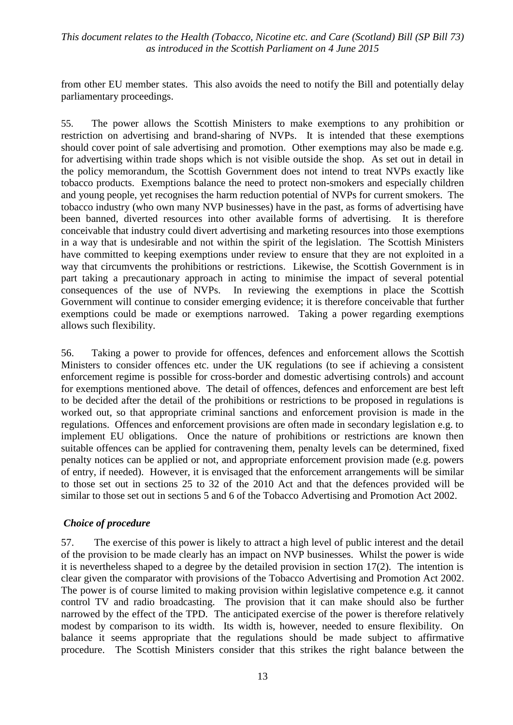from other EU member states. This also avoids the need to notify the Bill and potentially delay parliamentary proceedings.

55. The power allows the Scottish Ministers to make exemptions to any prohibition or restriction on advertising and brand-sharing of NVPs. It is intended that these exemptions should cover point of sale advertising and promotion. Other exemptions may also be made e.g. for advertising within trade shops which is not visible outside the shop. As set out in detail in the policy memorandum, the Scottish Government does not intend to treat NVPs exactly like tobacco products. Exemptions balance the need to protect non-smokers and especially children and young people, yet recognises the harm reduction potential of NVPs for current smokers. The tobacco industry (who own many NVP businesses) have in the past, as forms of advertising have been banned, diverted resources into other available forms of advertising. It is therefore conceivable that industry could divert advertising and marketing resources into those exemptions in a way that is undesirable and not within the spirit of the legislation. The Scottish Ministers have committed to keeping exemptions under review to ensure that they are not exploited in a way that circumvents the prohibitions or restrictions. Likewise, the Scottish Government is in part taking a precautionary approach in acting to minimise the impact of several potential consequences of the use of NVPs. In reviewing the exemptions in place the Scottish Government will continue to consider emerging evidence; it is therefore conceivable that further exemptions could be made or exemptions narrowed. Taking a power regarding exemptions allows such flexibility.

56. Taking a power to provide for offences, defences and enforcement allows the Scottish Ministers to consider offences etc. under the UK regulations (to see if achieving a consistent enforcement regime is possible for cross-border and domestic advertising controls) and account for exemptions mentioned above. The detail of offences, defences and enforcement are best left to be decided after the detail of the prohibitions or restrictions to be proposed in regulations is worked out, so that appropriate criminal sanctions and enforcement provision is made in the regulations. Offences and enforcement provisions are often made in secondary legislation e.g. to implement EU obligations. Once the nature of prohibitions or restrictions are known then suitable offences can be applied for contravening them, penalty levels can be determined, fixed penalty notices can be applied or not, and appropriate enforcement provision made (e.g. powers of entry, if needed). However, it is envisaged that the enforcement arrangements will be similar to those set out in sections 25 to 32 of the 2010 Act and that the defences provided will be similar to those set out in sections 5 and 6 of the Tobacco Advertising and Promotion Act 2002.

#### *Choice of procedure*

57. The exercise of this power is likely to attract a high level of public interest and the detail of the provision to be made clearly has an impact on NVP businesses. Whilst the power is wide it is nevertheless shaped to a degree by the detailed provision in section 17(2). The intention is clear given the comparator with provisions of the Tobacco Advertising and Promotion Act 2002. The power is of course limited to making provision within legislative competence e.g. it cannot control TV and radio broadcasting. The provision that it can make should also be further narrowed by the effect of the TPD. The anticipated exercise of the power is therefore relatively modest by comparison to its width. Its width is, however, needed to ensure flexibility. On balance it seems appropriate that the regulations should be made subject to affirmative procedure. The Scottish Ministers consider that this strikes the right balance between the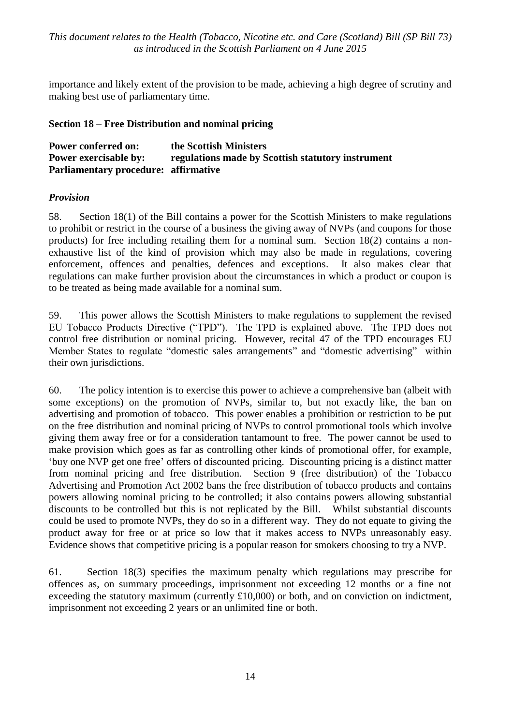importance and likely extent of the provision to be made, achieving a high degree of scrutiny and making best use of parliamentary time.

#### **Section 18 – Free Distribution and nominal pricing**

**Power conferred on: the Scottish Ministers Power exercisable by: regulations made by Scottish statutory instrument Parliamentary procedure: affirmative**

#### *Provision*

58. Section 18(1) of the Bill contains a power for the Scottish Ministers to make regulations to prohibit or restrict in the course of a business the giving away of NVPs (and coupons for those products) for free including retailing them for a nominal sum. Section 18(2) contains a nonexhaustive list of the kind of provision which may also be made in regulations, covering enforcement, offences and penalties, defences and exceptions. It also makes clear that regulations can make further provision about the circumstances in which a product or coupon is to be treated as being made available for a nominal sum.

59. This power allows the Scottish Ministers to make regulations to supplement the revised EU Tobacco Products Directive ("TPD"). The TPD is explained above. The TPD does not control free distribution or nominal pricing. However, recital 47 of the TPD encourages EU Member States to regulate "domestic sales arrangements" and "domestic advertising" within their own jurisdictions.

60. The policy intention is to exercise this power to achieve a comprehensive ban (albeit with some exceptions) on the promotion of NVPs, similar to, but not exactly like, the ban on advertising and promotion of tobacco. This power enables a prohibition or restriction to be put on the free distribution and nominal pricing of NVPs to control promotional tools which involve giving them away free or for a consideration tantamount to free. The power cannot be used to make provision which goes as far as controlling other kinds of promotional offer, for example, 'buy one NVP get one free' offers of discounted pricing. Discounting pricing is a distinct matter from nominal pricing and free distribution. Section 9 (free distribution) of the Tobacco Advertising and Promotion Act 2002 bans the free distribution of tobacco products and contains powers allowing nominal pricing to be controlled; it also contains powers allowing substantial discounts to be controlled but this is not replicated by the Bill. Whilst substantial discounts could be used to promote NVPs, they do so in a different way. They do not equate to giving the product away for free or at price so low that it makes access to NVPs unreasonably easy. Evidence shows that competitive pricing is a popular reason for smokers choosing to try a NVP.

61. Section 18(3) specifies the maximum penalty which regulations may prescribe for offences as, on summary proceedings, imprisonment not exceeding 12 months or a fine not exceeding the statutory maximum (currently £10,000) or both, and on conviction on indictment, imprisonment not exceeding 2 years or an unlimited fine or both.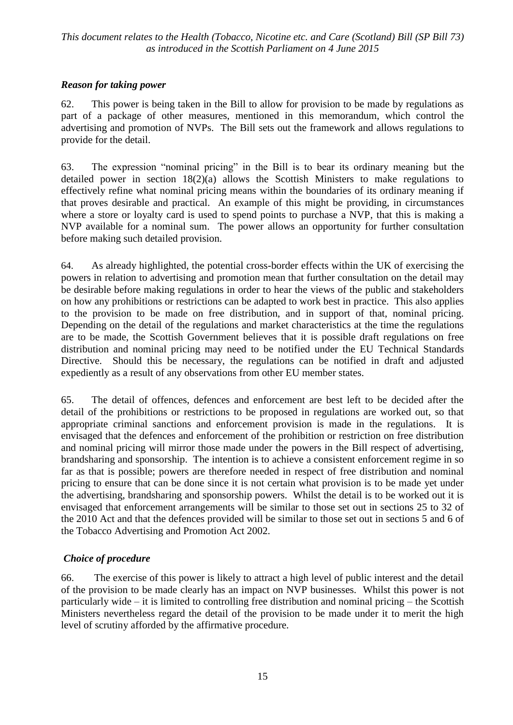#### *Reason for taking power*

62. This power is being taken in the Bill to allow for provision to be made by regulations as part of a package of other measures, mentioned in this memorandum, which control the advertising and promotion of NVPs. The Bill sets out the framework and allows regulations to provide for the detail.

63. The expression "nominal pricing" in the Bill is to bear its ordinary meaning but the detailed power in section 18(2)(a) allows the Scottish Ministers to make regulations to effectively refine what nominal pricing means within the boundaries of its ordinary meaning if that proves desirable and practical. An example of this might be providing, in circumstances where a store or loyalty card is used to spend points to purchase a NVP, that this is making a NVP available for a nominal sum. The power allows an opportunity for further consultation before making such detailed provision.

64. As already highlighted, the potential cross-border effects within the UK of exercising the powers in relation to advertising and promotion mean that further consultation on the detail may be desirable before making regulations in order to hear the views of the public and stakeholders on how any prohibitions or restrictions can be adapted to work best in practice. This also applies to the provision to be made on free distribution, and in support of that, nominal pricing. Depending on the detail of the regulations and market characteristics at the time the regulations are to be made, the Scottish Government believes that it is possible draft regulations on free distribution and nominal pricing may need to be notified under the EU Technical Standards Directive. Should this be necessary, the regulations can be notified in draft and adjusted expediently as a result of any observations from other EU member states.

65. The detail of offences, defences and enforcement are best left to be decided after the detail of the prohibitions or restrictions to be proposed in regulations are worked out, so that appropriate criminal sanctions and enforcement provision is made in the regulations. It is envisaged that the defences and enforcement of the prohibition or restriction on free distribution and nominal pricing will mirror those made under the powers in the Bill respect of advertising, brandsharing and sponsorship. The intention is to achieve a consistent enforcement regime in so far as that is possible; powers are therefore needed in respect of free distribution and nominal pricing to ensure that can be done since it is not certain what provision is to be made yet under the advertising, brandsharing and sponsorship powers. Whilst the detail is to be worked out it is envisaged that enforcement arrangements will be similar to those set out in sections 25 to 32 of the 2010 Act and that the defences provided will be similar to those set out in sections 5 and 6 of the Tobacco Advertising and Promotion Act 2002.

#### *Choice of procedure*

66. The exercise of this power is likely to attract a high level of public interest and the detail of the provision to be made clearly has an impact on NVP businesses. Whilst this power is not particularly wide – it is limited to controlling free distribution and nominal pricing – the Scottish Ministers nevertheless regard the detail of the provision to be made under it to merit the high level of scrutiny afforded by the affirmative procedure.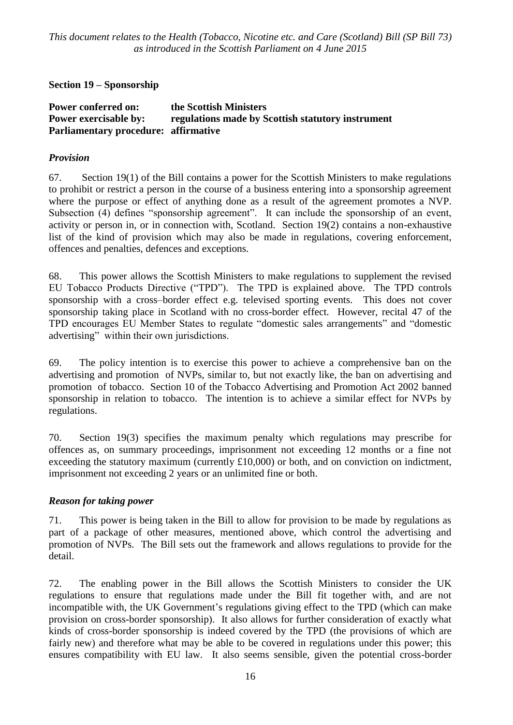#### **Section 19 – Sponsorship**

| <b>Power conferred on:</b>                  | the Scottish Ministers                            |
|---------------------------------------------|---------------------------------------------------|
| <b>Power exercisable by:</b>                | regulations made by Scottish statutory instrument |
| <b>Parliamentary procedure: affirmative</b> |                                                   |

#### *Provision*

67. Section 19(1) of the Bill contains a power for the Scottish Ministers to make regulations to prohibit or restrict a person in the course of a business entering into a sponsorship agreement where the purpose or effect of anything done as a result of the agreement promotes a NVP. Subsection (4) defines "sponsorship agreement". It can include the sponsorship of an event, activity or person in, or in connection with, Scotland. Section 19(2) contains a non-exhaustive list of the kind of provision which may also be made in regulations, covering enforcement, offences and penalties, defences and exceptions.

68. This power allows the Scottish Ministers to make regulations to supplement the revised EU Tobacco Products Directive ("TPD"). The TPD is explained above. The TPD controls sponsorship with a cross–border effect e.g. televised sporting events. This does not cover sponsorship taking place in Scotland with no cross-border effect. However, recital 47 of the TPD encourages EU Member States to regulate "domestic sales arrangements" and "domestic advertising" within their own jurisdictions.

69. The policy intention is to exercise this power to achieve a comprehensive ban on the advertising and promotion of NVPs, similar to, but not exactly like, the ban on advertising and promotion of tobacco. Section 10 of the Tobacco Advertising and Promotion Act 2002 banned sponsorship in relation to tobacco. The intention is to achieve a similar effect for NVPs by regulations.

70. Section 19(3) specifies the maximum penalty which regulations may prescribe for offences as, on summary proceedings, imprisonment not exceeding 12 months or a fine not exceeding the statutory maximum (currently £10,000) or both, and on conviction on indictment, imprisonment not exceeding 2 years or an unlimited fine or both.

#### *Reason for taking power*

71. This power is being taken in the Bill to allow for provision to be made by regulations as part of a package of other measures, mentioned above, which control the advertising and promotion of NVPs. The Bill sets out the framework and allows regulations to provide for the detail.

72. The enabling power in the Bill allows the Scottish Ministers to consider the UK regulations to ensure that regulations made under the Bill fit together with, and are not incompatible with, the UK Government's regulations giving effect to the TPD (which can make provision on cross-border sponsorship). It also allows for further consideration of exactly what kinds of cross-border sponsorship is indeed covered by the TPD (the provisions of which are fairly new) and therefore what may be able to be covered in regulations under this power; this ensures compatibility with EU law. It also seems sensible, given the potential cross-border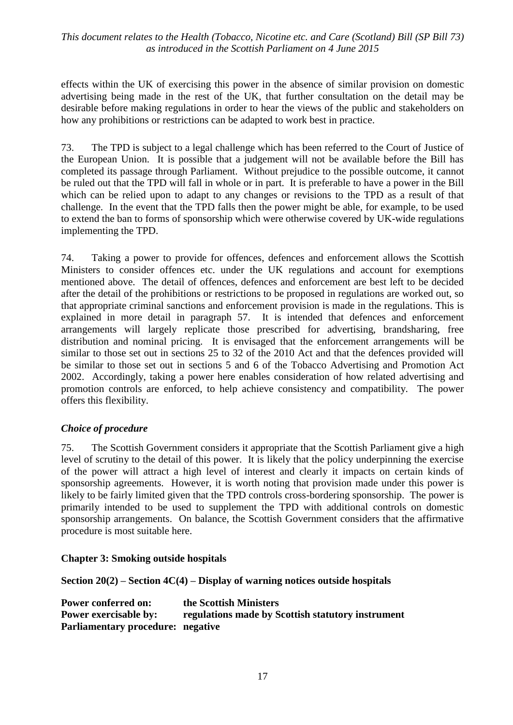effects within the UK of exercising this power in the absence of similar provision on domestic advertising being made in the rest of the UK, that further consultation on the detail may be desirable before making regulations in order to hear the views of the public and stakeholders on how any prohibitions or restrictions can be adapted to work best in practice.

73. The TPD is subject to a legal challenge which has been referred to the Court of Justice of the European Union. It is possible that a judgement will not be available before the Bill has completed its passage through Parliament. Without prejudice to the possible outcome, it cannot be ruled out that the TPD will fall in whole or in part. It is preferable to have a power in the Bill which can be relied upon to adapt to any changes or revisions to the TPD as a result of that challenge. In the event that the TPD falls then the power might be able, for example, to be used to extend the ban to forms of sponsorship which were otherwise covered by UK-wide regulations implementing the TPD.

74. Taking a power to provide for offences, defences and enforcement allows the Scottish Ministers to consider offences etc. under the UK regulations and account for exemptions mentioned above. The detail of offences, defences and enforcement are best left to be decided after the detail of the prohibitions or restrictions to be proposed in regulations are worked out, so that appropriate criminal sanctions and enforcement provision is made in the regulations. This is explained in more detail in paragraph 57. It is intended that defences and enforcement arrangements will largely replicate those prescribed for advertising, brandsharing, free distribution and nominal pricing. It is envisaged that the enforcement arrangements will be similar to those set out in sections 25 to 32 of the 2010 Act and that the defences provided will be similar to those set out in sections 5 and 6 of the Tobacco Advertising and Promotion Act 2002. Accordingly, taking a power here enables consideration of how related advertising and promotion controls are enforced, to help achieve consistency and compatibility. The power offers this flexibility.

#### *Choice of procedure*

75. The Scottish Government considers it appropriate that the Scottish Parliament give a high level of scrutiny to the detail of this power. It is likely that the policy underpinning the exercise of the power will attract a high level of interest and clearly it impacts on certain kinds of sponsorship agreements. However, it is worth noting that provision made under this power is likely to be fairly limited given that the TPD controls cross-bordering sponsorship. The power is primarily intended to be used to supplement the TPD with additional controls on domestic sponsorship arrangements. On balance, the Scottish Government considers that the affirmative procedure is most suitable here.

#### **Chapter 3: Smoking outside hospitals**

**Section 20(2) – Section 4C(4) – Display of warning notices outside hospitals**

| <b>Power conferred on:</b>               | the Scottish Ministers                            |
|------------------------------------------|---------------------------------------------------|
| <b>Power exercisable by:</b>             | regulations made by Scottish statutory instrument |
| <b>Parliamentary procedure: negative</b> |                                                   |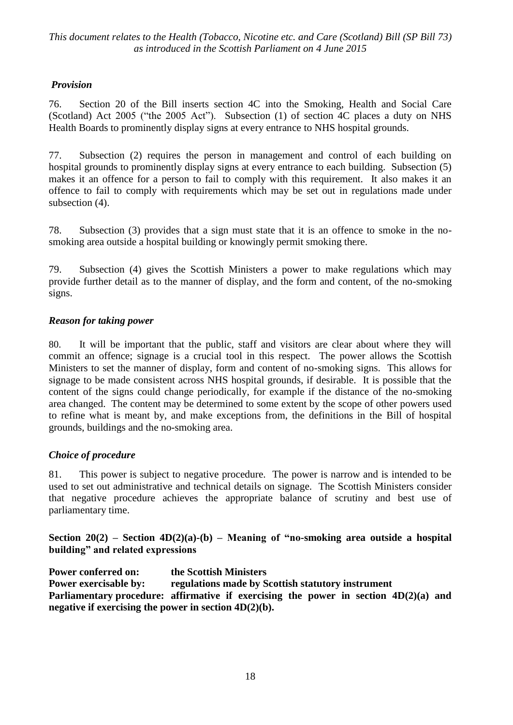## *Provision*

76. Section 20 of the Bill inserts section 4C into the Smoking, Health and Social Care (Scotland) Act 2005 ("the 2005 Act"). Subsection (1) of section 4C places a duty on NHS Health Boards to prominently display signs at every entrance to NHS hospital grounds.

77. Subsection (2) requires the person in management and control of each building on hospital grounds to prominently display signs at every entrance to each building. Subsection (5) makes it an offence for a person to fail to comply with this requirement. It also makes it an offence to fail to comply with requirements which may be set out in regulations made under subsection (4).

78. Subsection (3) provides that a sign must state that it is an offence to smoke in the nosmoking area outside a hospital building or knowingly permit smoking there.

79. Subsection (4) gives the Scottish Ministers a power to make regulations which may provide further detail as to the manner of display, and the form and content, of the no-smoking signs.

## *Reason for taking power*

80. It will be important that the public, staff and visitors are clear about where they will commit an offence; signage is a crucial tool in this respect. The power allows the Scottish Ministers to set the manner of display, form and content of no-smoking signs. This allows for signage to be made consistent across NHS hospital grounds, if desirable. It is possible that the content of the signs could change periodically, for example if the distance of the no-smoking area changed. The content may be determined to some extent by the scope of other powers used to refine what is meant by, and make exceptions from, the definitions in the Bill of hospital grounds, buildings and the no-smoking area.

## *Choice of procedure*

81. This power is subject to negative procedure. The power is narrow and is intended to be used to set out administrative and technical details on signage. The Scottish Ministers consider that negative procedure achieves the appropriate balance of scrutiny and best use of parliamentary time.

**Section 20(2) – Section 4D(2)(a)-(b) – Meaning of "no-smoking area outside a hospital building" and related expressions** 

**Power conferred on: the Scottish Ministers Power exercisable by: regulations made by Scottish statutory instrument Parliamentary procedure: affirmative if exercising the power in section 4D(2)(a) and negative if exercising the power in section 4D(2)(b).**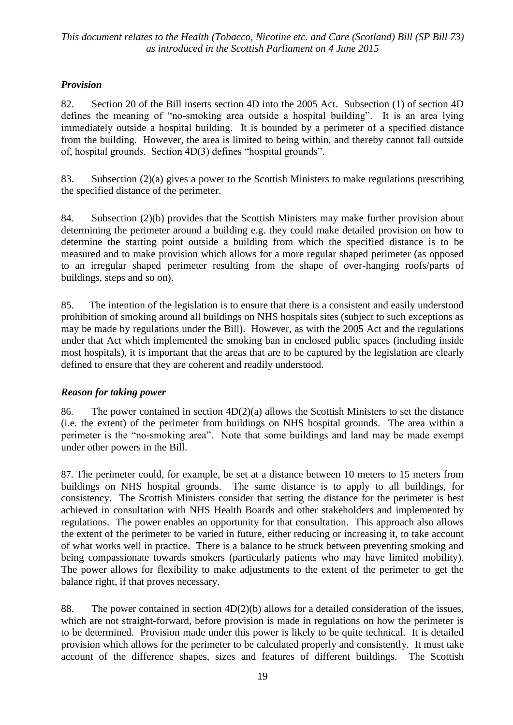## *Provision*

82. Section 20 of the Bill inserts section 4D into the 2005 Act. Subsection (1) of section 4D defines the meaning of "no-smoking area outside a hospital building". It is an area lying immediately outside a hospital building. It is bounded by a perimeter of a specified distance from the building. However, the area is limited to being within, and thereby cannot fall outside of, hospital grounds. Section 4D(3) defines "hospital grounds".

83. Subsection (2)(a) gives a power to the Scottish Ministers to make regulations prescribing the specified distance of the perimeter.

84. Subsection (2)(b) provides that the Scottish Ministers may make further provision about determining the perimeter around a building e.g. they could make detailed provision on how to determine the starting point outside a building from which the specified distance is to be measured and to make provision which allows for a more regular shaped perimeter (as opposed to an irregular shaped perimeter resulting from the shape of over-hanging roofs/parts of buildings, steps and so on).

85. The intention of the legislation is to ensure that there is a consistent and easily understood prohibition of smoking around all buildings on NHS hospitals sites (subject to such exceptions as may be made by regulations under the Bill). However, as with the 2005 Act and the regulations under that Act which implemented the smoking ban in enclosed public spaces (including inside most hospitals), it is important that the areas that are to be captured by the legislation are clearly defined to ensure that they are coherent and readily understood.

## *Reason for taking power*

86. The power contained in section 4D(2)(a) allows the Scottish Ministers to set the distance (i.e. the extent) of the perimeter from buildings on NHS hospital grounds. The area within a perimeter is the "no-smoking area". Note that some buildings and land may be made exempt under other powers in the Bill.

87. The perimeter could, for example, be set at a distance between 10 meters to 15 meters from buildings on NHS hospital grounds. The same distance is to apply to all buildings, for consistency. The Scottish Ministers consider that setting the distance for the perimeter is best achieved in consultation with NHS Health Boards and other stakeholders and implemented by regulations. The power enables an opportunity for that consultation. This approach also allows the extent of the perimeter to be varied in future, either reducing or increasing it, to take account of what works well in practice. There is a balance to be struck between preventing smoking and being compassionate towards smokers (particularly patients who may have limited mobility). The power allows for flexibility to make adjustments to the extent of the perimeter to get the balance right, if that proves necessary.

88. The power contained in section  $4D(2)(b)$  allows for a detailed consideration of the issues, which are not straight-forward, before provision is made in regulations on how the perimeter is to be determined. Provision made under this power is likely to be quite technical. It is detailed provision which allows for the perimeter to be calculated properly and consistently. It must take account of the difference shapes, sizes and features of different buildings. The Scottish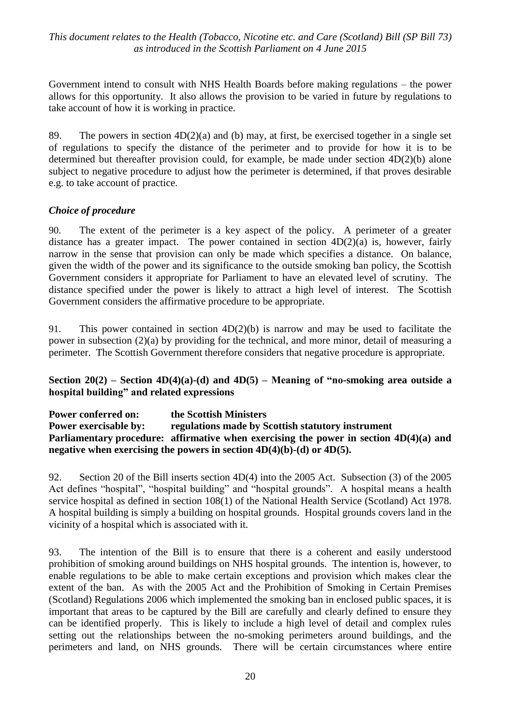Government intend to consult with NHS Health Boards before making regulations – the power allows for this opportunity. It also allows the provision to be varied in future by regulations to take account of how it is working in practice.

89. The powers in section  $4D(2)(a)$  and (b) may, at first, be exercised together in a single set of regulations to specify the distance of the perimeter and to provide for how it is to be determined but thereafter provision could, for example, be made under section 4D(2)(b) alone subject to negative procedure to adjust how the perimeter is determined, if that proves desirable e.g. to take account of practice.

#### *Choice of procedure*

90. The extent of the perimeter is a key aspect of the policy. A perimeter of a greater distance has a greater impact. The power contained in section  $4D(2)(a)$  is, however, fairly narrow in the sense that provision can only be made which specifies a distance. On balance, given the width of the power and its significance to the outside smoking ban policy, the Scottish Government considers it appropriate for Parliament to have an elevated level of scrutiny. The distance specified under the power is likely to attract a high level of interest. The Scottish Government considers the affirmative procedure to be appropriate.

91. This power contained in section 4D(2)(b) is narrow and may be used to facilitate the power in subsection (2)(a) by providing for the technical, and more minor, detail of measuring a perimeter. The Scottish Government therefore considers that negative procedure is appropriate.

#### **Section 20(2) – Section 4D(4)(a)-(d) and 4D(5) – Meaning of "no-smoking area outside a hospital building" and related expressions**

**Power conferred on: the Scottish Ministers Power exercisable by: regulations made by Scottish statutory instrument Parliamentary procedure: affirmative when exercising the power in section 4D(4)(a) and negative when exercising the powers in section 4D(4)(b)-(d) or 4D(5).**

92. Section 20 of the Bill inserts section 4D(4) into the 2005 Act. Subsection (3) of the 2005 Act defines "hospital", "hospital building" and "hospital grounds". A hospital means a health service hospital as defined in section 108(1) of the National Health Service (Scotland) Act 1978. A hospital building is simply a building on hospital grounds. Hospital grounds covers land in the vicinity of a hospital which is associated with it.

93. The intention of the Bill is to ensure that there is a coherent and easily understood prohibition of smoking around buildings on NHS hospital grounds. The intention is, however, to enable regulations to be able to make certain exceptions and provision which makes clear the extent of the ban. As with the 2005 Act and the Prohibition of Smoking in Certain Premises (Scotland) Regulations 2006 which implemented the smoking ban in enclosed public spaces, it is important that areas to be captured by the Bill are carefully and clearly defined to ensure they can be identified properly. This is likely to include a high level of detail and complex rules setting out the relationships between the no-smoking perimeters around buildings, and the perimeters and land, on NHS grounds. There will be certain circumstances where entire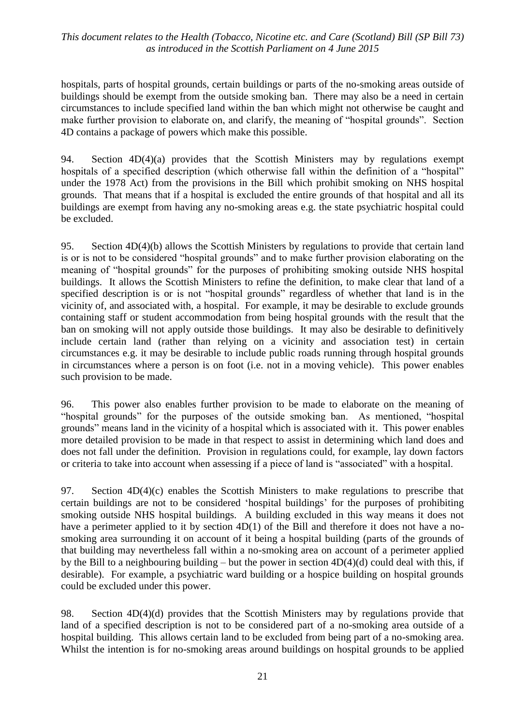hospitals, parts of hospital grounds, certain buildings or parts of the no-smoking areas outside of buildings should be exempt from the outside smoking ban. There may also be a need in certain circumstances to include specified land within the ban which might not otherwise be caught and make further provision to elaborate on, and clarify, the meaning of "hospital grounds". Section 4D contains a package of powers which make this possible.

94. Section 4D(4)(a) provides that the Scottish Ministers may by regulations exempt hospitals of a specified description (which otherwise fall within the definition of a "hospital" under the 1978 Act) from the provisions in the Bill which prohibit smoking on NHS hospital grounds. That means that if a hospital is excluded the entire grounds of that hospital and all its buildings are exempt from having any no-smoking areas e.g. the state psychiatric hospital could be excluded.

95. Section 4D(4)(b) allows the Scottish Ministers by regulations to provide that certain land is or is not to be considered "hospital grounds" and to make further provision elaborating on the meaning of "hospital grounds" for the purposes of prohibiting smoking outside NHS hospital buildings. It allows the Scottish Ministers to refine the definition, to make clear that land of a specified description is or is not "hospital grounds" regardless of whether that land is in the vicinity of, and associated with, a hospital. For example, it may be desirable to exclude grounds containing staff or student accommodation from being hospital grounds with the result that the ban on smoking will not apply outside those buildings. It may also be desirable to definitively include certain land (rather than relying on a vicinity and association test) in certain circumstances e.g. it may be desirable to include public roads running through hospital grounds in circumstances where a person is on foot (i.e. not in a moving vehicle). This power enables such provision to be made.

96. This power also enables further provision to be made to elaborate on the meaning of "hospital grounds" for the purposes of the outside smoking ban. As mentioned, "hospital grounds" means land in the vicinity of a hospital which is associated with it. This power enables more detailed provision to be made in that respect to assist in determining which land does and does not fall under the definition. Provision in regulations could, for example, lay down factors or criteria to take into account when assessing if a piece of land is "associated" with a hospital.

97. Section 4D(4)(c) enables the Scottish Ministers to make regulations to prescribe that certain buildings are not to be considered 'hospital buildings' for the purposes of prohibiting smoking outside NHS hospital buildings. A building excluded in this way means it does not have a perimeter applied to it by section  $4D(1)$  of the Bill and therefore it does not have a nosmoking area surrounding it on account of it being a hospital building (parts of the grounds of that building may nevertheless fall within a no-smoking area on account of a perimeter applied by the Bill to a neighbouring building – but the power in section  $4D(4)(d)$  could deal with this, if desirable). For example, a psychiatric ward building or a hospice building on hospital grounds could be excluded under this power.

98. Section 4D(4)(d) provides that the Scottish Ministers may by regulations provide that land of a specified description is not to be considered part of a no-smoking area outside of a hospital building. This allows certain land to be excluded from being part of a no-smoking area. Whilst the intention is for no-smoking areas around buildings on hospital grounds to be applied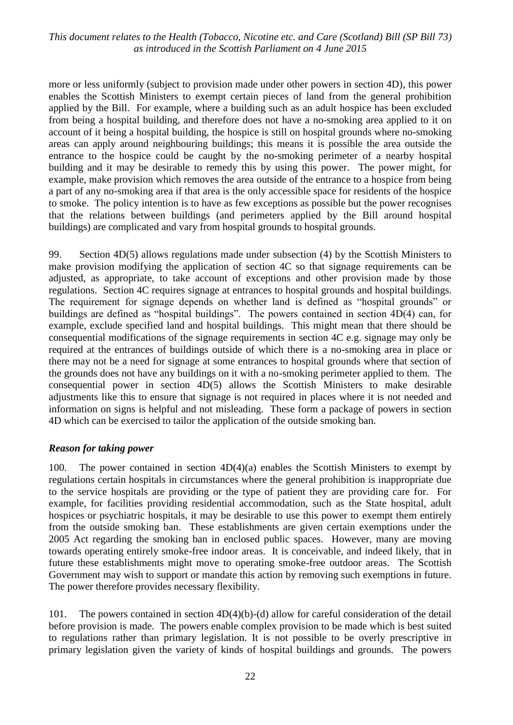more or less uniformly (subject to provision made under other powers in section 4D), this power enables the Scottish Ministers to exempt certain pieces of land from the general prohibition applied by the Bill. For example, where a building such as an adult hospice has been excluded from being a hospital building, and therefore does not have a no-smoking area applied to it on account of it being a hospital building, the hospice is still on hospital grounds where no-smoking areas can apply around neighbouring buildings; this means it is possible the area outside the entrance to the hospice could be caught by the no-smoking perimeter of a nearby hospital building and it may be desirable to remedy this by using this power. The power might, for example, make provision which removes the area outside of the entrance to a hospice from being a part of any no-smoking area if that area is the only accessible space for residents of the hospice to smoke. The policy intention is to have as few exceptions as possible but the power recognises that the relations between buildings (and perimeters applied by the Bill around hospital buildings) are complicated and vary from hospital grounds to hospital grounds.

99. Section 4D(5) allows regulations made under subsection (4) by the Scottish Ministers to make provision modifying the application of section 4C so that signage requirements can be adjusted, as appropriate, to take account of exceptions and other provision made by those regulations. Section 4C requires signage at entrances to hospital grounds and hospital buildings. The requirement for signage depends on whether land is defined as "hospital grounds" or buildings are defined as "hospital buildings". The powers contained in section 4D(4) can, for example, exclude specified land and hospital buildings. This might mean that there should be consequential modifications of the signage requirements in section 4C e.g. signage may only be required at the entrances of buildings outside of which there is a no-smoking area in place or there may not be a need for signage at some entrances to hospital grounds where that section of the grounds does not have any buildings on it with a no-smoking perimeter applied to them. The consequential power in section 4D(5) allows the Scottish Ministers to make desirable adjustments like this to ensure that signage is not required in places where it is not needed and information on signs is helpful and not misleading. These form a package of powers in section 4D which can be exercised to tailor the application of the outside smoking ban.

#### *Reason for taking power*

100. The power contained in section 4D(4)(a) enables the Scottish Ministers to exempt by regulations certain hospitals in circumstances where the general prohibition is inappropriate due to the service hospitals are providing or the type of patient they are providing care for. For example, for facilities providing residential accommodation, such as the State hospital, adult hospices or psychiatric hospitals, it may be desirable to use this power to exempt them entirely from the outside smoking ban. These establishments are given certain exemptions under the 2005 Act regarding the smoking ban in enclosed public spaces. However, many are moving towards operating entirely smoke-free indoor areas. It is conceivable, and indeed likely, that in future these establishments might move to operating smoke-free outdoor areas. The Scottish Government may wish to support or mandate this action by removing such exemptions in future. The power therefore provides necessary flexibility.

101. The powers contained in section 4D(4)(b)-(d) allow for careful consideration of the detail before provision is made. The powers enable complex provision to be made which is best suited to regulations rather than primary legislation. It is not possible to be overly prescriptive in primary legislation given the variety of kinds of hospital buildings and grounds. The powers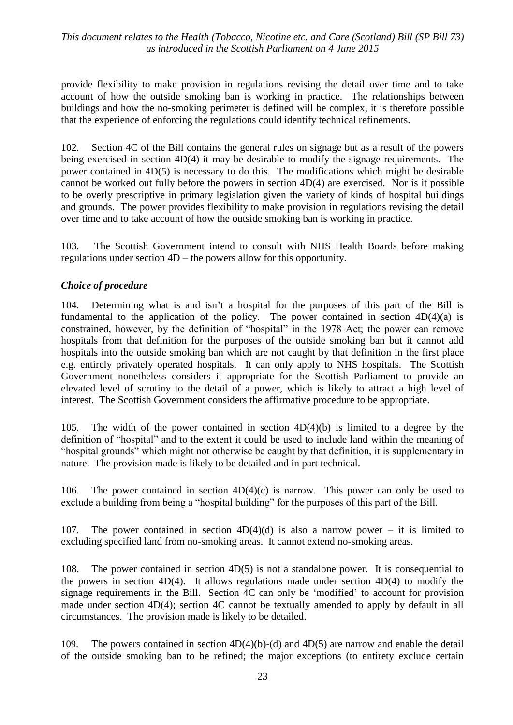provide flexibility to make provision in regulations revising the detail over time and to take account of how the outside smoking ban is working in practice. The relationships between buildings and how the no-smoking perimeter is defined will be complex, it is therefore possible that the experience of enforcing the regulations could identify technical refinements.

102. Section 4C of the Bill contains the general rules on signage but as a result of the powers being exercised in section 4D(4) it may be desirable to modify the signage requirements. The power contained in 4D(5) is necessary to do this. The modifications which might be desirable cannot be worked out fully before the powers in section 4D(4) are exercised. Nor is it possible to be overly prescriptive in primary legislation given the variety of kinds of hospital buildings and grounds. The power provides flexibility to make provision in regulations revising the detail over time and to take account of how the outside smoking ban is working in practice.

103. The Scottish Government intend to consult with NHS Health Boards before making regulations under section 4D – the powers allow for this opportunity.

#### *Choice of procedure*

104. Determining what is and isn't a hospital for the purposes of this part of the Bill is fundamental to the application of the policy. The power contained in section  $4D(4)(a)$  is constrained, however, by the definition of "hospital" in the 1978 Act; the power can remove hospitals from that definition for the purposes of the outside smoking ban but it cannot add hospitals into the outside smoking ban which are not caught by that definition in the first place e.g. entirely privately operated hospitals. It can only apply to NHS hospitals. The Scottish Government nonetheless considers it appropriate for the Scottish Parliament to provide an elevated level of scrutiny to the detail of a power, which is likely to attract a high level of interest. The Scottish Government considers the affirmative procedure to be appropriate.

105. The width of the power contained in section 4D(4)(b) is limited to a degree by the definition of "hospital" and to the extent it could be used to include land within the meaning of "hospital grounds" which might not otherwise be caught by that definition, it is supplementary in nature. The provision made is likely to be detailed and in part technical.

106. The power contained in section 4D(4)(c) is narrow. This power can only be used to exclude a building from being a "hospital building" for the purposes of this part of the Bill.

107. The power contained in section  $4D(4)(d)$  is also a narrow power – it is limited to excluding specified land from no-smoking areas. It cannot extend no-smoking areas.

108. The power contained in section 4D(5) is not a standalone power. It is consequential to the powers in section 4D(4). It allows regulations made under section 4D(4) to modify the signage requirements in the Bill. Section 4C can only be 'modified' to account for provision made under section 4D(4); section 4C cannot be textually amended to apply by default in all circumstances. The provision made is likely to be detailed.

109. The powers contained in section 4D(4)(b)-(d) and 4D(5) are narrow and enable the detail of the outside smoking ban to be refined; the major exceptions (to entirety exclude certain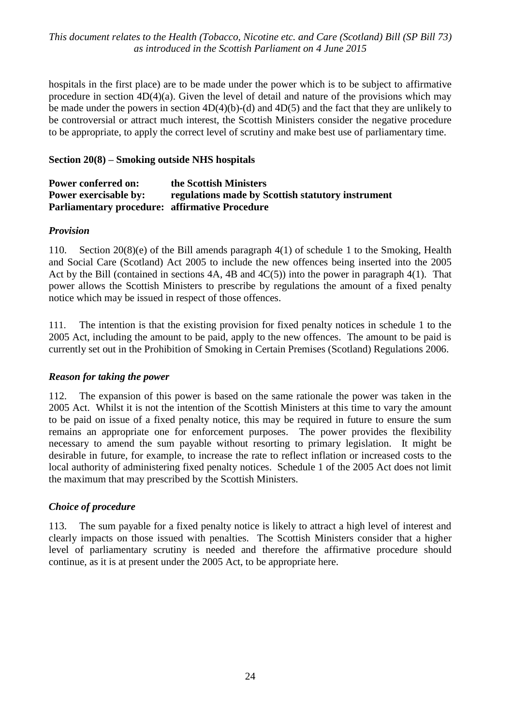hospitals in the first place) are to be made under the power which is to be subject to affirmative procedure in section  $4D(4)(a)$ . Given the level of detail and nature of the provisions which may be made under the powers in section 4D(4)(b)-(d) and 4D(5) and the fact that they are unlikely to be controversial or attract much interest, the Scottish Ministers consider the negative procedure to be appropriate, to apply the correct level of scrutiny and make best use of parliamentary time.

#### **Section 20(8) – Smoking outside NHS hospitals**

#### **Power conferred on: the Scottish Ministers Power exercisable by:** regulations made by Scottish statutory instrument **Parliamentary procedure: affirmative Procedure**

#### *Provision*

110. Section 20(8)(e) of the Bill amends paragraph 4(1) of schedule 1 to the Smoking, Health and Social Care (Scotland) Act 2005 to include the new offences being inserted into the 2005 Act by the Bill (contained in sections 4A, 4B and 4C(5)) into the power in paragraph 4(1).That power allows the Scottish Ministers to prescribe by regulations the amount of a fixed penalty notice which may be issued in respect of those offences.

111. The intention is that the existing provision for fixed penalty notices in schedule 1 to the 2005 Act, including the amount to be paid, apply to the new offences. The amount to be paid is currently set out in the Prohibition of Smoking in Certain Premises (Scotland) Regulations 2006.

#### *Reason for taking the power*

112. The expansion of this power is based on the same rationale the power was taken in the 2005 Act. Whilst it is not the intention of the Scottish Ministers at this time to vary the amount to be paid on issue of a fixed penalty notice, this may be required in future to ensure the sum remains an appropriate one for enforcement purposes. The power provides the flexibility necessary to amend the sum payable without resorting to primary legislation. It might be desirable in future, for example, to increase the rate to reflect inflation or increased costs to the local authority of administering fixed penalty notices. Schedule 1 of the 2005 Act does not limit the maximum that may prescribed by the Scottish Ministers.

#### *Choice of procedure*

113. The sum payable for a fixed penalty notice is likely to attract a high level of interest and clearly impacts on those issued with penalties. The Scottish Ministers consider that a higher level of parliamentary scrutiny is needed and therefore the affirmative procedure should continue, as it is at present under the 2005 Act, to be appropriate here.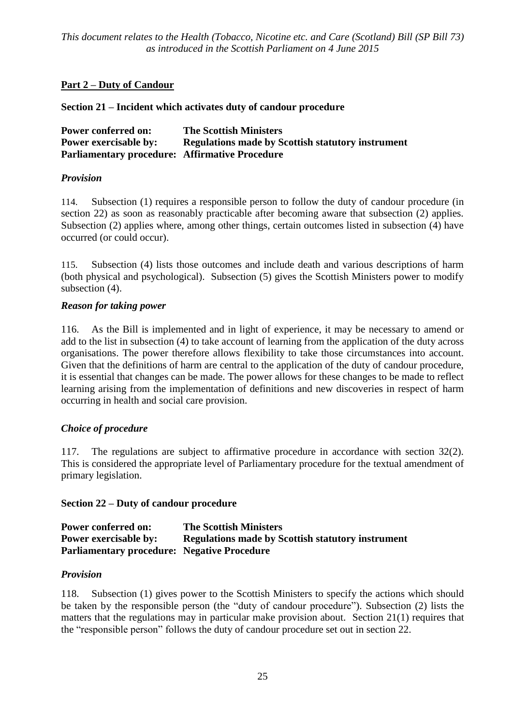### **Part 2 – Duty of Candour**

**Section 21 – Incident which activates duty of candour procedure**

| Power conferred on:                                   | <b>The Scottish Ministers</b>                            |
|-------------------------------------------------------|----------------------------------------------------------|
| <b>Power exercisable by:</b>                          | <b>Regulations made by Scottish statutory instrument</b> |
| <b>Parliamentary procedure: Affirmative Procedure</b> |                                                          |

#### *Provision*

114. Subsection (1) requires a responsible person to follow the duty of candour procedure (in section 22) as soon as reasonably practicable after becoming aware that subsection (2) applies. Subsection (2) applies where, among other things, certain outcomes listed in subsection (4) have occurred (or could occur).

115. Subsection (4) lists those outcomes and include death and various descriptions of harm (both physical and psychological). Subsection (5) gives the Scottish Ministers power to modify subsection (4).

#### *Reason for taking power*

116. As the Bill is implemented and in light of experience, it may be necessary to amend or add to the list in subsection (4) to take account of learning from the application of the duty across organisations. The power therefore allows flexibility to take those circumstances into account. Given that the definitions of harm are central to the application of the duty of candour procedure, it is essential that changes can be made. The power allows for these changes to be made to reflect learning arising from the implementation of definitions and new discoveries in respect of harm occurring in health and social care provision.

#### *Choice of procedure*

117. The regulations are subject to affirmative procedure in accordance with section 32(2). This is considered the appropriate level of Parliamentary procedure for the textual amendment of primary legislation.

#### **Section 22 – Duty of candour procedure**

| <b>Power conferred on:</b>                         | <b>The Scottish Ministers</b>                            |
|----------------------------------------------------|----------------------------------------------------------|
| <b>Power exercisable by:</b>                       | <b>Regulations made by Scottish statutory instrument</b> |
| <b>Parliamentary procedure: Negative Procedure</b> |                                                          |

#### *Provision*

118. Subsection (1) gives power to the Scottish Ministers to specify the actions which should be taken by the responsible person (the "duty of candour procedure"). Subsection (2) lists the matters that the regulations may in particular make provision about. Section 21(1) requires that the "responsible person" follows the duty of candour procedure set out in section 22.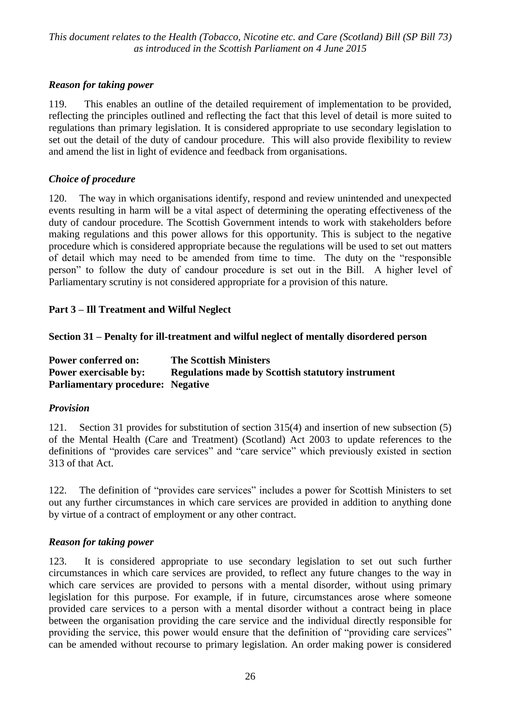#### *Reason for taking power*

119. This enables an outline of the detailed requirement of implementation to be provided, reflecting the principles outlined and reflecting the fact that this level of detail is more suited to regulations than primary legislation. It is considered appropriate to use secondary legislation to set out the detail of the duty of candour procedure. This will also provide flexibility to review and amend the list in light of evidence and feedback from organisations.

#### *Choice of procedure*

120. The way in which organisations identify, respond and review unintended and unexpected events resulting in harm will be a vital aspect of determining the operating effectiveness of the duty of candour procedure. The Scottish Government intends to work with stakeholders before making regulations and this power allows for this opportunity. This is subject to the negative procedure which is considered appropriate because the regulations will be used to set out matters of detail which may need to be amended from time to time. The duty on the "responsible person" to follow the duty of candour procedure is set out in the Bill. A higher level of Parliamentary scrutiny is not considered appropriate for a provision of this nature.

#### **Part 3 – Ill Treatment and Wilful Neglect**

**Section 31 – Penalty for ill-treatment and wilful neglect of mentally disordered person**

| <b>Power conferred on:</b>               | <b>The Scottish Ministers</b>                            |
|------------------------------------------|----------------------------------------------------------|
| <b>Power exercisable by:</b>             | <b>Regulations made by Scottish statutory instrument</b> |
| <b>Parliamentary procedure: Negative</b> |                                                          |

#### *Provision*

121. Section 31 provides for substitution of section 315(4) and insertion of new subsection (5) of the Mental Health (Care and Treatment) (Scotland) Act 2003 to update references to the definitions of "provides care services" and "care service" which previously existed in section 313 of that Act.

122. The definition of "provides care services" includes a power for Scottish Ministers to set out any further circumstances in which care services are provided in addition to anything done by virtue of a contract of employment or any other contract.

#### *Reason for taking power*

123. It is considered appropriate to use secondary legislation to set out such further circumstances in which care services are provided, to reflect any future changes to the way in which care services are provided to persons with a mental disorder, without using primary legislation for this purpose. For example, if in future, circumstances arose where someone provided care services to a person with a mental disorder without a contract being in place between the organisation providing the care service and the individual directly responsible for providing the service, this power would ensure that the definition of "providing care services" can be amended without recourse to primary legislation. An order making power is considered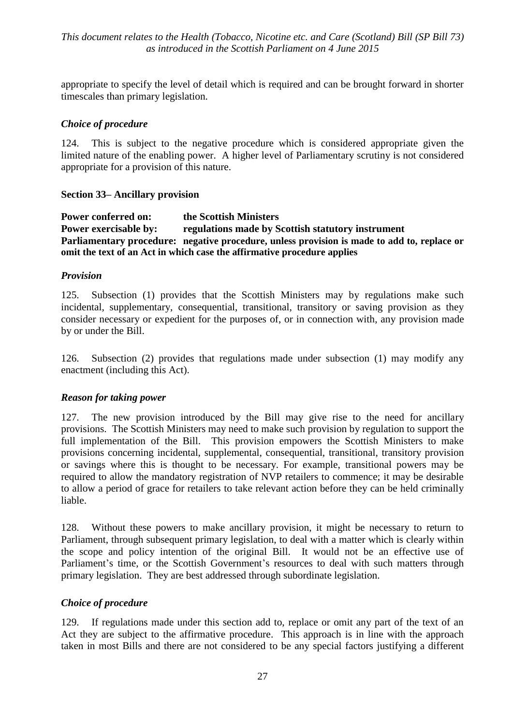appropriate to specify the level of detail which is required and can be brought forward in shorter timescales than primary legislation.

#### *Choice of procedure*

124. This is subject to the negative procedure which is considered appropriate given the limited nature of the enabling power. A higher level of Parliamentary scrutiny is not considered appropriate for a provision of this nature.

#### **Section 33– Ancillary provision**

**Power conferred on: the Scottish Ministers Power exercisable by: regulations made by Scottish statutory instrument Parliamentary procedure: negative procedure, unless provision is made to add to, replace or omit the text of an Act in which case the affirmative procedure applies** 

#### *Provision*

125. Subsection (1) provides that the Scottish Ministers may by regulations make such incidental, supplementary, consequential, transitional, transitory or saving provision as they consider necessary or expedient for the purposes of, or in connection with, any provision made by or under the Bill.

126. Subsection (2) provides that regulations made under subsection (1) may modify any enactment (including this Act).

#### *Reason for taking power*

127. The new provision introduced by the Bill may give rise to the need for ancillary provisions. The Scottish Ministers may need to make such provision by regulation to support the full implementation of the Bill. This provision empowers the Scottish Ministers to make provisions concerning incidental, supplemental, consequential, transitional, transitory provision or savings where this is thought to be necessary. For example, transitional powers may be required to allow the mandatory registration of NVP retailers to commence; it may be desirable to allow a period of grace for retailers to take relevant action before they can be held criminally liable.

128. Without these powers to make ancillary provision, it might be necessary to return to Parliament, through subsequent primary legislation, to deal with a matter which is clearly within the scope and policy intention of the original Bill. It would not be an effective use of Parliament's time, or the Scottish Government's resources to deal with such matters through primary legislation. They are best addressed through subordinate legislation.

#### *Choice of procedure*

129. If regulations made under this section add to, replace or omit any part of the text of an Act they are subject to the affirmative procedure. This approach is in line with the approach taken in most Bills and there are not considered to be any special factors justifying a different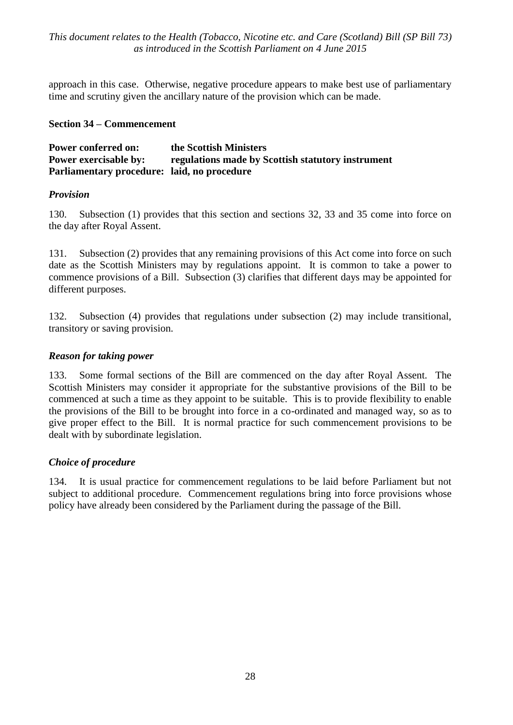approach in this case. Otherwise, negative procedure appears to make best use of parliamentary time and scrutiny given the ancillary nature of the provision which can be made.

#### **Section 34 – Commencement**

**Power conferred on: the Scottish Ministers Power exercisable by: regulations made by Scottish statutory instrument Parliamentary procedure: laid, no procedure**

#### *Provision*

130. Subsection (1) provides that this section and sections 32, 33 and 35 come into force on the day after Royal Assent.

131. Subsection (2) provides that any remaining provisions of this Act come into force on such date as the Scottish Ministers may by regulations appoint. It is common to take a power to commence provisions of a Bill. Subsection (3) clarifies that different days may be appointed for different purposes.

132. Subsection (4) provides that regulations under subsection (2) may include transitional, transitory or saving provision.

#### *Reason for taking power*

133. Some formal sections of the Bill are commenced on the day after Royal Assent. The Scottish Ministers may consider it appropriate for the substantive provisions of the Bill to be commenced at such a time as they appoint to be suitable. This is to provide flexibility to enable the provisions of the Bill to be brought into force in a co-ordinated and managed way, so as to give proper effect to the Bill. It is normal practice for such commencement provisions to be dealt with by subordinate legislation.

#### *Choice of procedure*

134. It is usual practice for commencement regulations to be laid before Parliament but not subject to additional procedure. Commencement regulations bring into force provisions whose policy have already been considered by the Parliament during the passage of the Bill.